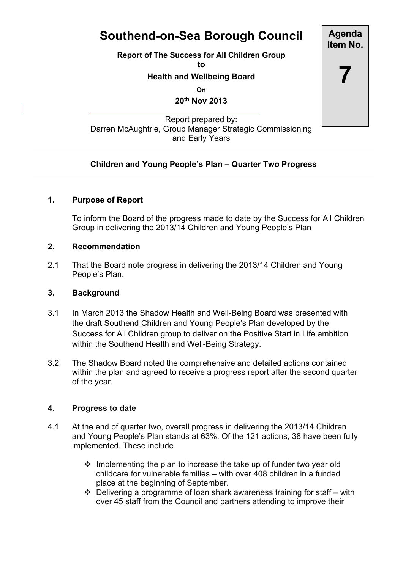# **Southend-on-Sea Borough Council**

**Report of The Success for All Children Group**

**to**

#### **Health and Wellbeing Board**

**On**

**20th Nov 2013**

Report prepared by: Darren McAughtrie, Group Manager Strategic Commissioning and Early Years

## **Children and Young People's Plan – Quarter Two Progress**

## **1. Purpose of Report**

To inform the Board of the progress made to date by the Success for All Children Group in delivering the 2013/14 Children and Young People's Plan

#### **2. Recommendation**

2.1 That the Board note progress in delivering the 2013/14 Children and Young People's Plan.

#### **3. Background**

- 3.1 In March 2013 the Shadow Health and Well-Being Board was presented with the draft Southend Children and Young People's Plan developed by the Success for All Children group to deliver on the Positive Start in Life ambition within the Southend Health and Well-Being Strategy.
- 3.2 The Shadow Board noted the comprehensive and detailed actions contained within the plan and agreed to receive a progress report after the second quarter of the year.

## **4. Progress to date**

- 4.1 At the end of quarter two, overall progress in delivering the 2013/14 Children and Young People's Plan stands at 63%. Of the 121 actions, 38 have been fully implemented. These include
	- $\cdot$  Implementing the plan to increase the take up of funder two year old childcare for vulnerable families – with over 408 children in a funded place at the beginning of September.
	- $\div$  Delivering a programme of loan shark awareness training for staff with over 45 staff from the Council and partners attending to improve their

**Agenda Item No. 7**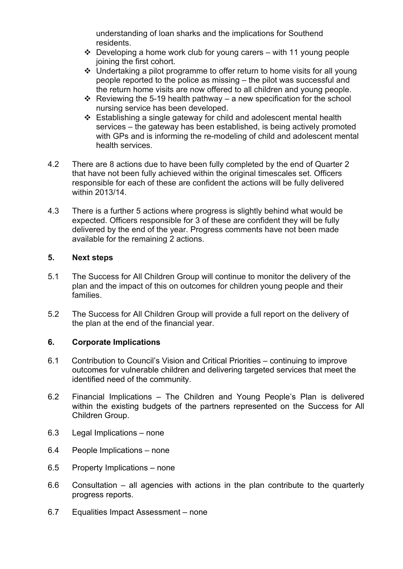understanding of loan sharks and the implications for Southend residents.

- $\cdot$  Developing a home work club for young carers with 11 young people joining the first cohort.
- Undertaking a pilot programme to offer return to home visits for all young people reported to the police as missing – the pilot was successful and the return home visits are now offered to all children and young people.
- $\cdot$  Reviewing the 5-19 health pathway a new specification for the school nursing service has been developed.
- $\div$  Establishing a single gateway for child and adolescent mental health services – the gateway has been established, is being actively promoted with GPs and is informing the re-modeling of child and adolescent mental health services.
- 4.2 There are 8 actions due to have been fully completed by the end of Quarter 2 that have not been fully achieved within the original timescales set. Officers responsible for each of these are confident the actions will be fully delivered within 2013/14.
- 4.3 There is a further 5 actions where progress is slightly behind what would be expected. Officers responsible for 3 of these are confident they will be fully delivered by the end of the year. Progress comments have not been made available for the remaining 2 actions.

#### **5. Next steps**

- 5.1 The Success for All Children Group will continue to monitor the delivery of the plan and the impact of this on outcomes for children young people and their families.
- 5.2 The Success for All Children Group will provide a full report on the delivery of the plan at the end of the financial year.

## **6. Corporate Implications**

- 6.1 Contribution to Council's Vision and Critical Priorities continuing to improve outcomes for vulnerable children and delivering targeted services that meet the identified need of the community.
- 6.2 Financial Implications The Children and Young People's Plan is delivered within the existing budgets of the partners represented on the Success for All Children Group.
- 6.3 Legal Implications none
- 6.4 People Implications none
- 6.5 Property Implications none
- 6.6 Consultation all agencies with actions in the plan contribute to the quarterly progress reports.
- 6.7 Equalities Impact Assessment none